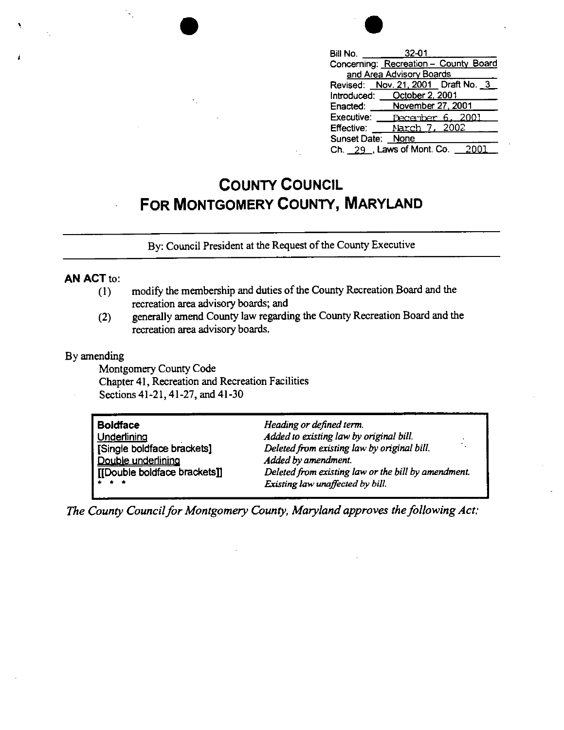| $32 - 01$<br>Bill No.                 |
|---------------------------------------|
| Concerning: Recreation - County Board |
| and Area Advisory Boards              |
| Revised: Nov. 21, 2001 Draft No. 3    |
| October 2, 2001<br>Introduced:        |
| November 27, 2001<br>Enacted:         |
| Executive:<br>December 6, 2001        |
| Narch 7, 2002<br><b>Effective:</b>    |
| Sunset Date:<br><b>None</b>           |
| Ch. 29, Laws of Mont. Co.             |

## **COUNTY COUNCIL FOR MONTGOMERY COUNTY, MARYLAND**

By: Council President at the Request of the County Executive

## **AN ACT** to:

'

- (I) modify the membership and duties of the County Recreation Board and the recreation area advisory boards; and
- (2) generally amend County law regarding the County Recreation Board and the recreation area advisory boards.

## By amending

Montgomery County Code Chapter 41, Recreation and Recreation Facilities Sections 41-21, 41-27, and 41-30

| Heading or defined term.                            |
|-----------------------------------------------------|
| Added to existing law by original bill.             |
| Deleted from existing law by original bill.         |
| Added by amendment.                                 |
| Deleted from existing law or the bill by amendment. |
| Existing law unaffected by bill.                    |
|                                                     |

*The County Council for Montgomery County, Maryland approves the following Act:*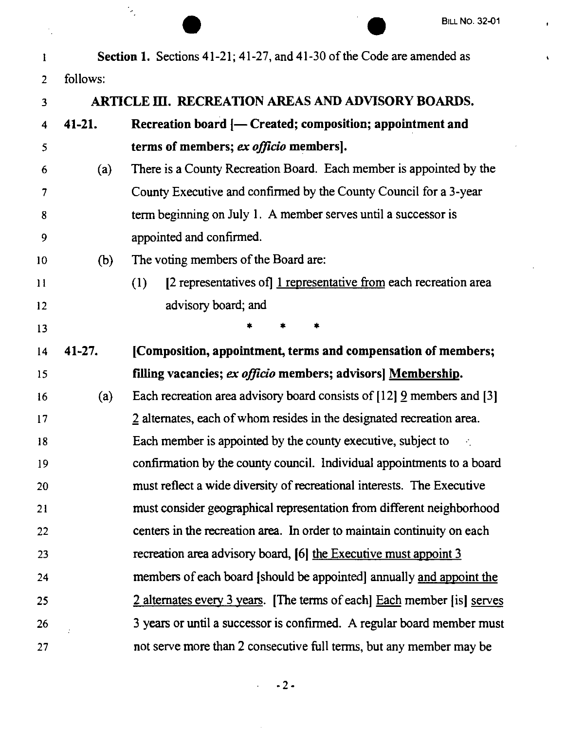$\pmb{\cdot}$ 

 $\hat{\mathbf{A}}$ 

|    |            |                                                                          | <b>BILL NO. 32-01</b> |
|----|------------|--------------------------------------------------------------------------|-----------------------|
| 1  |            | Section 1. Sections 41-21; 41-27, and 41-30 of the Code are amended as   |                       |
| 2  | follows:   |                                                                          |                       |
| 3  |            | ARTICLE III. RECREATION AREAS AND ADVISORY BOARDS.                       |                       |
| 4  | $41 - 21.$ | Recreation board [- Created; composition; appointment and                |                       |
| 5  |            | terms of members; ex officio members].                                   |                       |
| 6  | (a)        | There is a County Recreation Board. Each member is appointed by the      |                       |
| 7  |            | County Executive and confirmed by the County Council for a 3-year        |                       |
| 8  |            | term beginning on July 1. A member serves until a successor is           |                       |
| 9  |            | appointed and confirmed.                                                 |                       |
| 10 | (b)        | The voting members of the Board are:                                     |                       |
| 11 |            | [2 representatives of] 1 representative from each recreation area<br>(1) |                       |
| 12 |            | advisory board; and                                                      |                       |
| 13 |            |                                                                          |                       |
| 14 | $41 - 27.$ | [Composition, appointment, terms and compensation of members;            |                       |
| 15 |            | filling vacancies; ex officio members; advisors] Membership.             |                       |
| 16 | (a)        | Each recreation area advisory board consists of [12] 9 members and [3]   |                       |
| 17 |            | 2 alternates, each of whom resides in the designated recreation area.    |                       |
| 18 |            | Each member is appointed by the county executive, subject to             |                       |
| 19 |            | confirmation by the county council. Individual appointments to a board   |                       |
| 20 |            | must reflect a wide diversity of recreational interests. The Executive   |                       |
| 21 |            | must consider geographical representation from different neighborhood    |                       |
| 22 |            | centers in the recreation area. In order to maintain continuity on each  |                       |
| 23 |            | recreation area advisory board, [6] the Executive must appoint 3         |                       |
| 24 |            | members of each board [should be appointed] annually and appoint the     |                       |
| 25 |            | 2 alternates every 3 years. [The terms of each] Each member [is] serves  |                       |
| 26 |            | 3 years or until a successor is confirmed. A regular board member must   |                       |
| 27 |            | not serve more than 2 consecutive full terms, but any member may be      |                       |

 $-2$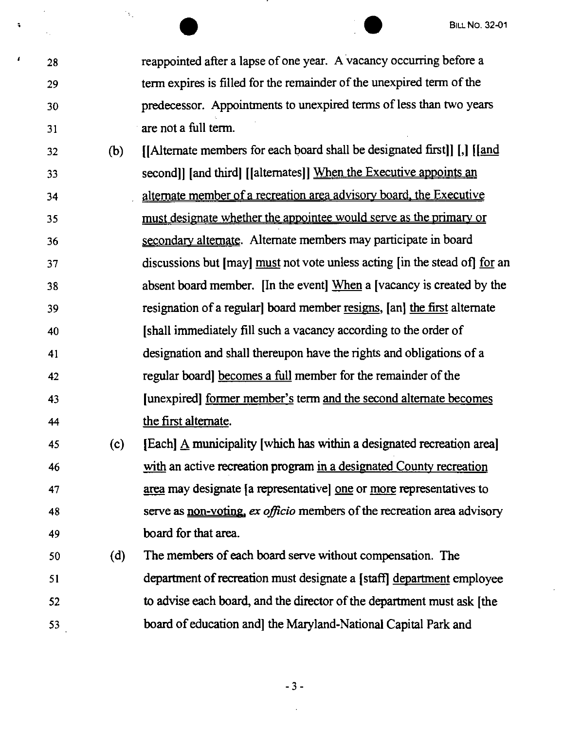<sup>28</sup> <sup>BILL NO. 32-01</sup><br>
<sup>28</sup> reappointed after a lapse of one year. A vacancy occurring before a 29 term expires is filled for the remainder of the unexpired term of the 30 predecessor. Appointments to unexpired terms of less than two years 31 are not a full term.

32 (b) ([Alternate members for each board shall be designated first]] [,] (land 33 second]] [and third] ([alternates]] When the Executive appoints an 34 alternate member of a recreation area advisory board, the Executive 35 must designate whether the appointee would serve as the primary or 36 secondary alternate. Alternate members may participate in board 37 discussions but [may] must not vote unless acting [in the stead of] for an 38 absent board member. [In the event] When a [vacancy is created by the 39 resignation of a regular] board member resigns. [an] the first alternate 40 [shall immediately fill such a vacancy according to the order of 41 designation and shall thereupon have the rights and obligations of a 42 regular board] becomes a full member for the remainder of the 43 [unexpired] former member's term and the second alternate becomes 44 the first alternate.

45 (c) [Each] A municipality (which has within a designated recreation area] 46 with an active recreation program in a designated County recreation 47 area may designate [a representative) one or more representatives to 48 serve as non-voting, *ex officio* members of the recreation area advisory 49 board for that area.

50 (d) The members of each board serve without compensation. The 51 department of recreation must designate a (staff] department employee 52 to advise each board, and the director of the department must ask [the 53 board of education and) the Maryland-National Capital Park and

- 3 -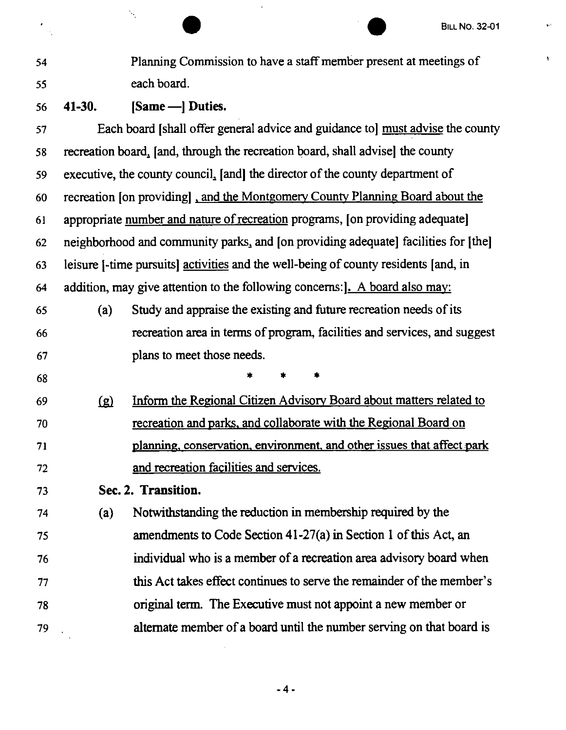$\hat{\mathbf{v}}^i$ 

 $\bar{\mathbf{v}}$ 

|    |            | <b>BILL NO. 32-01</b>                                                               |
|----|------------|-------------------------------------------------------------------------------------|
| 54 |            | Planning Commission to have a staff member present at meetings of                   |
| 55 |            | each board.                                                                         |
| 56 | $41-30.$   | [Same - ] Duties.                                                                   |
| 57 |            | Each board [shall offer general advice and guidance to] must advise the county      |
| 58 |            | recreation board, [and, through the recreation board, shall advise] the county      |
| 59 |            | executive, the county council, [and] the director of the county department of       |
| 60 |            | recreation [on providing], and the Montgomery County Planning Board about the       |
| 61 |            | appropriate number and nature of recreation programs, [on providing adequate]       |
| 62 |            | neighborhood and community parks, and [on providing adequate] facilities for [the]  |
| 63 |            | leisure [-time pursuits] activities and the well-being of county residents [and, in |
| 64 |            | addition, may give attention to the following concerns: <b>J.</b> A board also may: |
| 65 | (a)        | Study and appraise the existing and future recreation needs of its                  |
| 66 |            | recreation area in terms of program, facilities and services, and suggest           |
| 67 |            | plans to meet those needs.                                                          |
| 68 |            |                                                                                     |
| 69 | <u>(g)</u> | Inform the Regional Citizen Advisory Board about matters related to                 |
| 70 |            | recreation and parks, and collaborate with the Regional Board on                    |
| 71 |            | planning, conservation, environment, and other issues that affect park              |
| 72 |            | and recreation facilities and services.                                             |
| 73 |            | Sec. 2. Transition.                                                                 |
| 74 | (a)        | Notwithstanding the reduction in membership required by the                         |
| 75 |            | amendments to Code Section 41-27(a) in Section 1 of this Act, an                    |
| 76 |            | individual who is a member of a recreation area advisory board when                 |
| 77 |            | this Act takes effect continues to serve the remainder of the member's              |
| 78 |            | original term. The Executive must not appoint a new member or                       |
| 79 |            | alternate member of a board until the number serving on that board is               |

-4•

 $\hat{\mathcal{A}}$